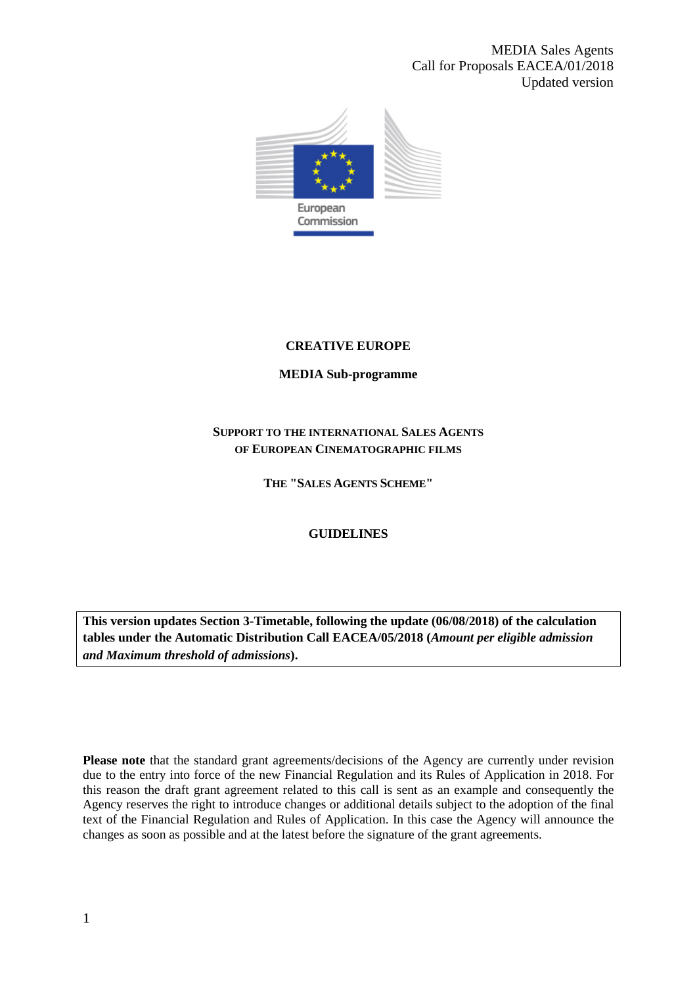MEDIA Sales Agents Call for Proposals EACEA/01/2018 Updated version



# **CREATIVE EUROPE**

# **MEDIA Sub-programme**

# **SUPPORT TO THE INTERNATIONAL SALES AGENTS OF EUROPEAN CINEMATOGRAPHIC FILMS**

**THE "SALES AGENTS SCHEME"**

# **GUIDELINES**

**This version updates Section 3-Timetable, following the update (06/08/2018) of the calculation tables under the Automatic Distribution Call EACEA/05/2018 (***Amount per eligible admission and Maximum threshold of admissions***).**

Please note that the standard grant agreements/decisions of the Agency are currently under revision due to the entry into force of the new Financial Regulation and its Rules of Application in 2018. For this reason the draft grant agreement related to this call is sent as an example and consequently the Agency reserves the right to introduce changes or additional details subject to the adoption of the final text of the Financial Regulation and Rules of Application. In this case the Agency will announce the changes as soon as possible and at the latest before the signature of the grant agreements.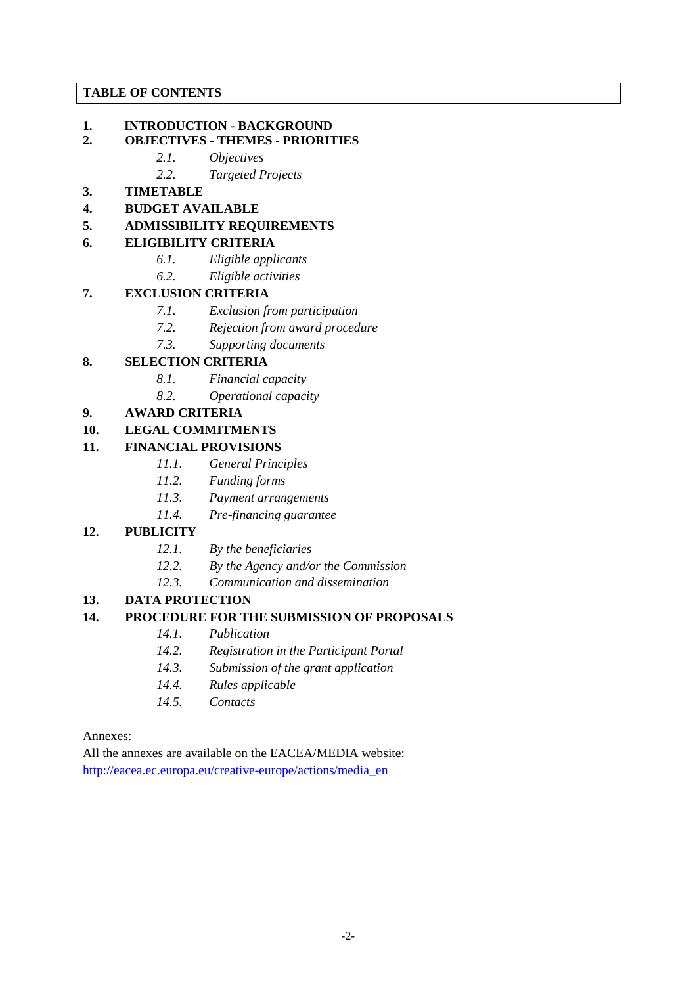### **TABLE OF CONTENTS**

# **1. INTRODUCTION - BACKGROUND**

### **2. OBJECTIVES - THEMES - PRIORITIES**

- *2.1. Objectives*
- *2.2. Targeted Projects*

# **3. TIMETABLE**

**4. BUDGET AVAILABLE**

### **5. ADMISSIBILITY REQUIREMENTS**

# **6. ELIGIBILITY CRITERIA**

- *6.1. Eligible applicants*
- *6.2. Eligible activities*

# **7. EXCLUSION CRITERIA**

- *7.1. Exclusion from participation*
- *7.2. Rejection from award procedure*
- *7.3. Supporting documents*

# **8. SELECTION CRITERIA**

- *8.1. Financial capacity*
- *8.2. Operational capacity*

# **9. AWARD CRITERIA**

# **10. LEGAL COMMITMENTS**

# **11. FINANCIAL PROVISIONS**

- *11.1. General Principles*
- *11.2. Funding forms*
- *11.3. Payment arrangements*
- *11.4. Pre-financing guarantee*

# **12. PUBLICITY**

- *12.1. By the beneficiaries*
- *12.2. By the Agency and/or the Commission*
- *12.3. Communication and dissemination*

# **13. DATA PROTECTION**

# **14. PROCEDURE FOR THE SUBMISSION OF PROPOSALS**

- *14.1. Publication*
- *14.2. Registration in the Participant Portal*
- *14.3. Submission of the grant application*
- *14.4. Rules applicable*
- *14.5. Contacts*

#### Annexes:

All the annexes are available on the EACEA/MEDIA website: [http://eacea.ec.europa.eu/creative-europe/actions/media\\_en](http://eacea.ec.europa.eu/creative-europe/actions/media_en)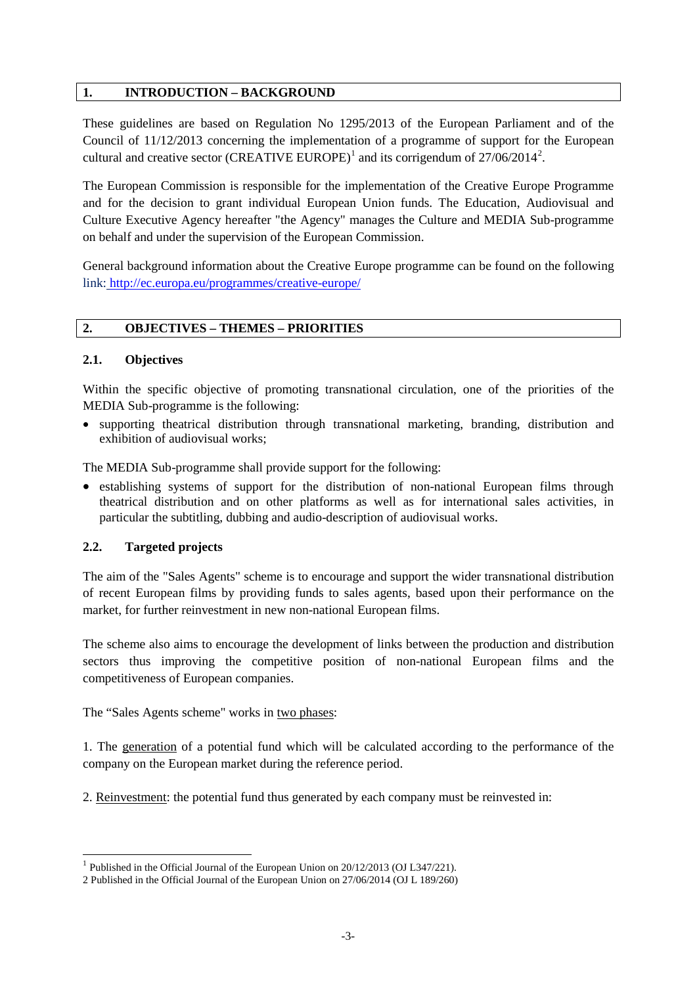### **1. INTRODUCTION – BACKGROUND**

These guidelines are based on Regulation No 1295/2013 of the European Parliament and of the Council of 11/12/2013 concerning the implementation of a programme of support for the European cultural and creative sector (CREATIVE EUROPE)<sup>[1](#page-2-0)</sup> and its corrigendum of  $27/06/2014^2$  $27/06/2014^2$ .

The European Commission is responsible for the implementation of the Creative Europe Programme and for the decision to grant individual European Union funds. The Education, Audiovisual and Culture Executive Agency hereafter "the Agency" manages the Culture and MEDIA Sub-programme on behalf and under the supervision of the European Commission.

General background information about the Creative Europe programme can be found on the following link: <http://ec.europa.eu/programmes/creative-europe/>

### **2. OBJECTIVES – THEMES – PRIORITIES**

### **2.1. Objectives**

Within the specific objective of promoting transnational circulation, one of the priorities of the MEDIA Sub-programme is the following:

• supporting theatrical distribution through transnational marketing, branding, distribution and exhibition of audiovisual works;

The MEDIA Sub-programme shall provide support for the following:

• establishing systems of support for the distribution of non-national European films through theatrical distribution and on other platforms as well as for international sales activities, in particular the subtitling, dubbing and audio-description of audiovisual works.

#### **2.2. Targeted projects**

The aim of the "Sales Agents" scheme is to encourage and support the wider transnational distribution of recent European films by providing funds to sales agents, based upon their performance on the market, for further reinvestment in new non-national European films.

The scheme also aims to encourage the development of links between the production and distribution sectors thus improving the competitive position of non-national European films and the competitiveness of European companies.

The "Sales Agents scheme" works in two phases:

1. The generation of a potential fund which will be calculated according to the performance of the company on the European market during the reference period.

2. Reinvestment: the potential fund thus generated by each company must be reinvested in:

<span id="page-2-0"></span><sup>&</sup>lt;sup>1</sup> Published in the Official Journal of the European Union on 20/12/2013 (OJ L347/221).

<span id="page-2-1"></span><sup>2</sup> Published in the Official Journal of the European Union on 27/06/2014 (OJ L 189/260)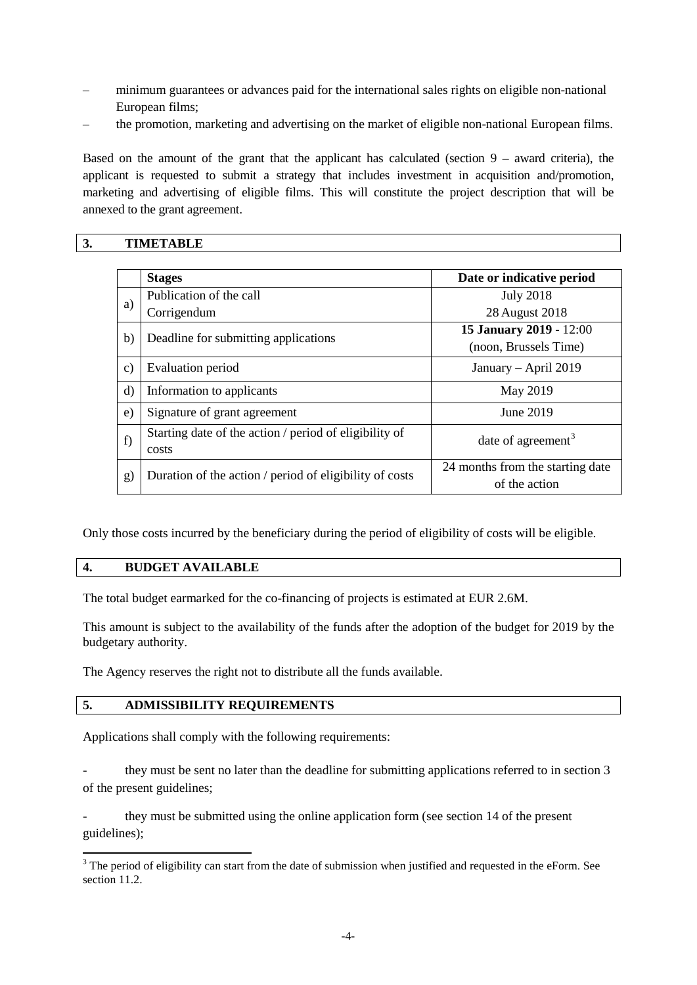- minimum guarantees or advances paid for the international sales rights on eligible non-national European films;
- the promotion, marketing and advertising on the market of eligible non-national European films.

Based on the amount of the grant that the applicant has calculated (section  $9 -$  award criteria), the applicant is requested to submit a strategy that includes investment in acquisition and/promotion, marketing and advertising of eligible films. This will constitute the project description that will be annexed to the grant agreement.

# **3. TIMETABLE**

|               | <b>Stages</b>                                           | Date or indicative period        |  |
|---------------|---------------------------------------------------------|----------------------------------|--|
| a)            | Publication of the call                                 | <b>July 2018</b>                 |  |
|               | Corrigendum                                             | 28 August 2018                   |  |
| b)            | Deadline for submitting applications                    | 15 January 2019 - 12:00          |  |
|               |                                                         | (noon, Brussels Time)            |  |
| $\mathbf{c})$ | Evaluation period                                       | January - April 2019             |  |
| $\rm d$       | Information to applicants                               | May 2019                         |  |
| $\epsilon$ )  | Signature of grant agreement                            | June 2019                        |  |
| f             | Starting date of the action / period of eligibility of  | date of agreement <sup>3</sup>   |  |
|               | costs                                                   |                                  |  |
| g)            | Duration of the action / period of eligibility of costs | 24 months from the starting date |  |
|               |                                                         | of the action                    |  |

Only those costs incurred by the beneficiary during the period of eligibility of costs will be eligible.

#### **4. BUDGET AVAILABLE**

The total budget earmarked for the co-financing of projects is estimated at EUR 2.6M.

This amount is subject to the availability of the funds after the adoption of the budget for 2019 by the budgetary authority.

The Agency reserves the right not to distribute all the funds available.

#### **5. ADMISSIBILITY REQUIREMENTS**

Applications shall comply with the following requirements:

they must be sent no later than the deadline for submitting applications referred to in section 3 of the present guidelines;

- they must be submitted using the online application form (see section 14 of the present guidelines);

<span id="page-3-0"></span><sup>&</sup>lt;sup>3</sup> The period of eligibility can start from the date of submission when justified and requested in the eForm. See section 11.2.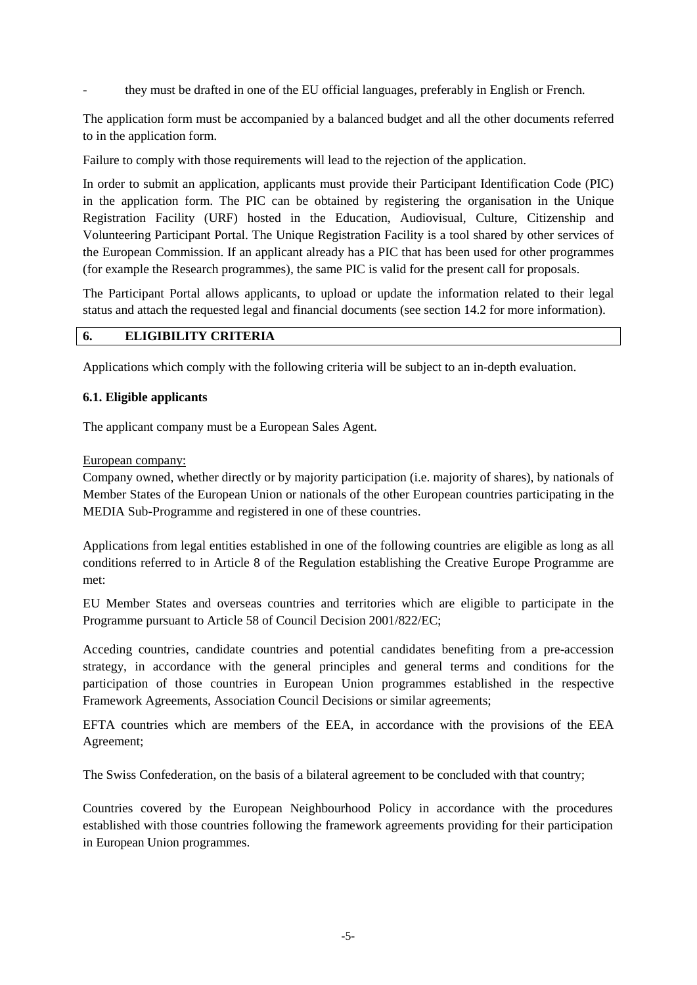they must be drafted in one of the EU official languages, preferably in English or French.

The application form must be accompanied by a balanced budget and all the other documents referred to in the application form.

Failure to comply with those requirements will lead to the rejection of the application.

In order to submit an application, applicants must provide their Participant Identification Code (PIC) in the application form. The PIC can be obtained by registering the organisation in the Unique Registration Facility (URF) hosted in the Education, Audiovisual, Culture, Citizenship and Volunteering Participant Portal. The Unique Registration Facility is a tool shared by other services of the European Commission. If an applicant already has a PIC that has been used for other programmes (for example the Research programmes), the same PIC is valid for the present call for proposals.

The Participant Portal allows applicants, to upload or update the information related to their legal status and attach the requested legal and financial documents (see section 14.2 for more information).

# **6. ELIGIBILITY CRITERIA**

Applications which comply with the following criteria will be subject to an in-depth evaluation.

#### **6.1. Eligible applicants**

The applicant company must be a European Sales Agent.

#### European company:

Company owned, whether directly or by majority participation (i.e. majority of shares), by nationals of Member States of the European Union or nationals of the other European countries participating in the MEDIA Sub-Programme and registered in one of these countries.

Applications from legal entities established in one of the following countries are eligible as long as all conditions referred to in Article 8 of the Regulation establishing the Creative Europe Programme are met:

EU Member States and overseas countries and territories which are eligible to participate in the Programme pursuant to Article 58 of Council Decision 2001/822/EC;

Acceding countries, candidate countries and potential candidates benefiting from a pre-accession strategy, in accordance with the general principles and general terms and conditions for the participation of those countries in European Union programmes established in the respective Framework Agreements, Association Council Decisions or similar agreements;

EFTA countries which are members of the EEA, in accordance with the provisions of the EEA Agreement;

The Swiss Confederation, on the basis of a bilateral agreement to be concluded with that country;

Countries covered by the European Neighbourhood Policy in accordance with the procedures established with those countries following the framework agreements providing for their participation in European Union programmes.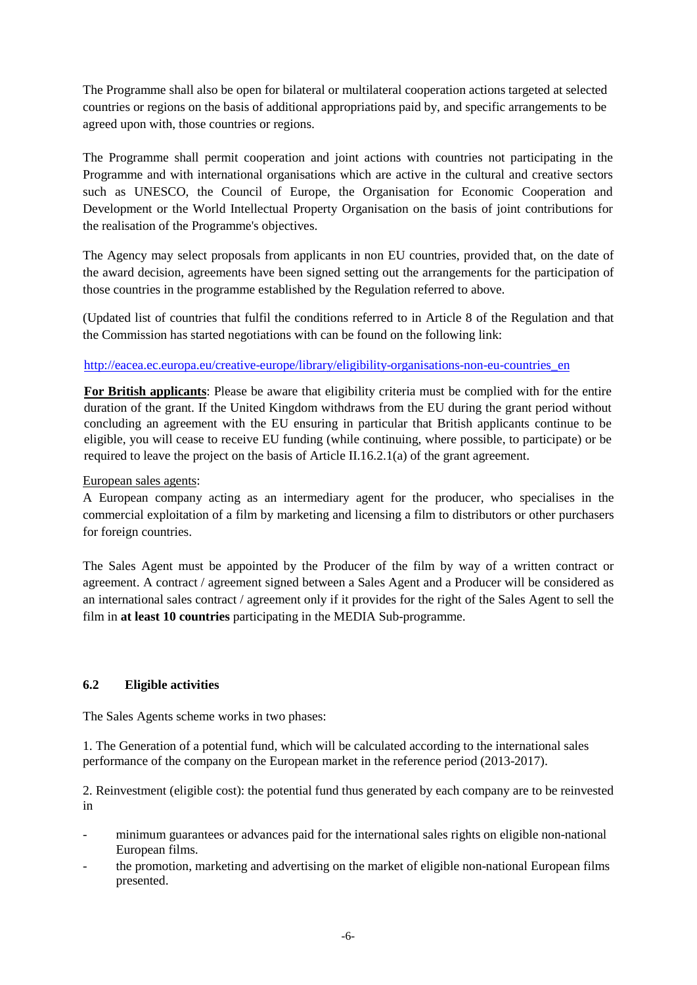The Programme shall also be open for bilateral or multilateral cooperation actions targeted at selected countries or regions on the basis of additional appropriations paid by, and specific arrangements to be agreed upon with, those countries or regions.

The Programme shall permit cooperation and joint actions with countries not participating in the Programme and with international organisations which are active in the cultural and creative sectors such as UNESCO, the Council of Europe, the Organisation for Economic Cooperation and Development or the World Intellectual Property Organisation on the basis of joint contributions for the realisation of the Programme's objectives.

The Agency may select proposals from applicants in non EU countries, provided that, on the date of the award decision, agreements have been signed setting out the arrangements for the participation of those countries in the programme established by the Regulation referred to above.

(Updated list of countries that fulfil the conditions referred to in Article 8 of the Regulation and that the Commission has started negotiations with can be found on the following link:

### [http://eacea.ec.europa.eu/creative-europe/library/eligibility-organisations-non-eu-countries\\_en](http://eacea.ec.europa.eu/creative-europe/library/eligibility-organisations-non-eu-countries_en)

**For British applicants**: Please be aware that eligibility criteria must be complied with for the entire duration of the grant. If the United Kingdom withdraws from the EU during the grant period without concluding an agreement with the EU ensuring in particular that British applicants continue to be eligible, you will cease to receive EU funding (while continuing, where possible, to participate) or be required to leave the project on the basis of Article II.16.2.1(a) of the grant agreement.

### European sales agents:

A European company acting as an intermediary agent for the producer, who specialises in the commercial exploitation of a film by marketing and licensing a film to distributors or other purchasers for foreign countries.

The Sales Agent must be appointed by the Producer of the film by way of a written contract or agreement. A contract / agreement signed between a Sales Agent and a Producer will be considered as an international sales contract / agreement only if it provides for the right of the Sales Agent to sell the film in **at least 10 countries** participating in the MEDIA Sub-programme.

#### **6.2 Eligible activities**

The Sales Agents scheme works in two phases:

1. The Generation of a potential fund, which will be calculated according to the international sales performance of the company on the European market in the reference period (2013-2017).

2. Reinvestment (eligible cost): the potential fund thus generated by each company are to be reinvested in

- minimum guarantees or advances paid for the international sales rights on eligible non-national European films.
- the promotion, marketing and advertising on the market of eligible non-national European films presented.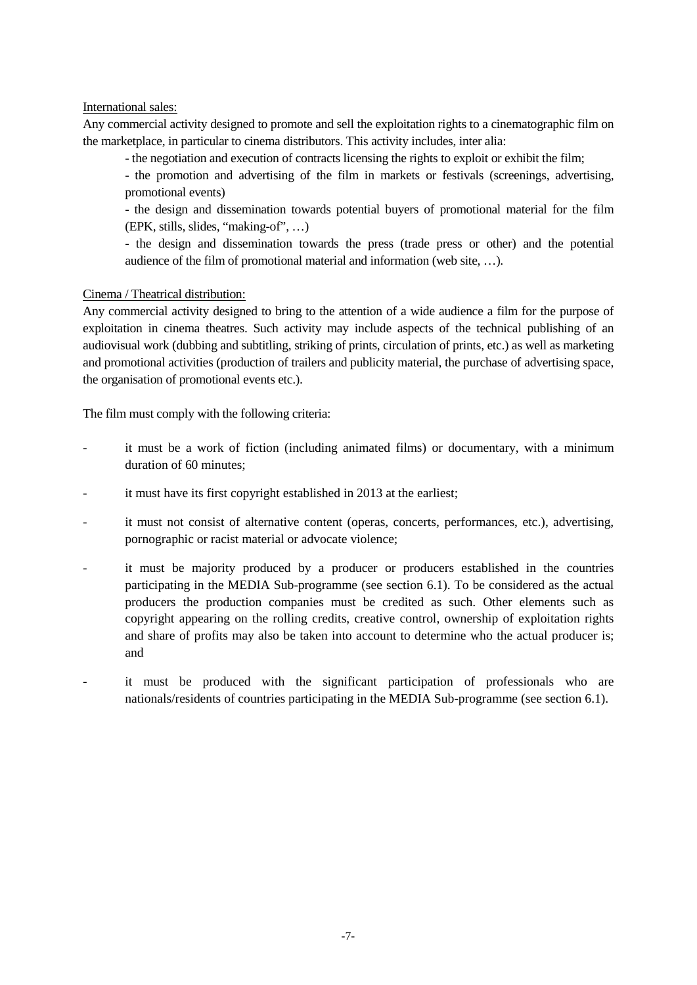### International sales:

Any commercial activity designed to promote and sell the exploitation rights to a cinematographic film on the marketplace, in particular to cinema distributors. This activity includes, inter alia:

- the negotiation and execution of contracts licensing the rights to exploit or exhibit the film;

- the promotion and advertising of the film in markets or festivals (screenings, advertising, promotional events)

- the design and dissemination towards potential buyers of promotional material for the film (EPK, stills, slides, "making-of", …)

- the design and dissemination towards the press (trade press or other) and the potential audience of the film of promotional material and information (web site, …).

### Cinema / Theatrical distribution:

Any commercial activity designed to bring to the attention of a wide audience a film for the purpose of exploitation in cinema theatres. Such activity may include aspects of the technical publishing of an audiovisual work (dubbing and subtitling, striking of prints, circulation of prints, etc.) as well as marketing and promotional activities (production of trailers and publicity material, the purchase of advertising space, the organisation of promotional events etc.).

The film must comply with the following criteria:

- it must be a work of fiction (including animated films) or documentary, with a minimum duration of 60 minutes;
- it must have its first copyright established in 2013 at the earliest;
- it must not consist of alternative content (operas, concerts, performances, etc.), advertising, pornographic or racist material or advocate violence;
- it must be majority produced by a producer or producers established in the countries participating in the MEDIA Sub-programme (see section 6.1). To be considered as the actual producers the production companies must be credited as such. Other elements such as copyright appearing on the rolling credits, creative control, ownership of exploitation rights and share of profits may also be taken into account to determine who the actual producer is; and
- it must be produced with the significant participation of professionals who are nationals/residents of countries participating in the MEDIA Sub-programme (see section 6.1).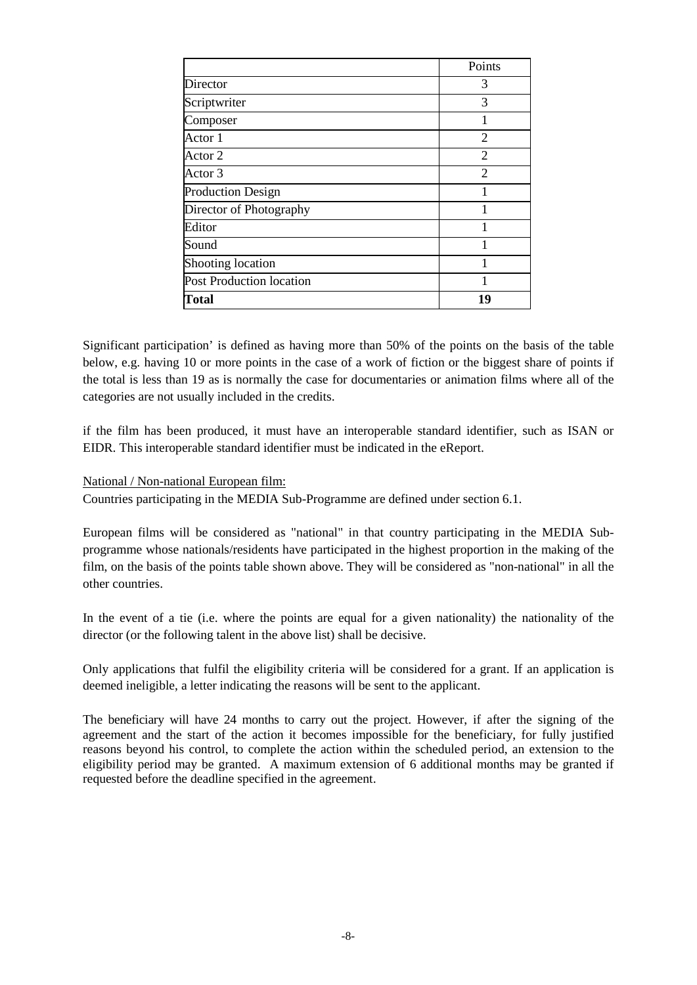|                          | Points         |
|--------------------------|----------------|
| Director                 | 3              |
| Scriptwriter             | 3              |
| Composer                 |                |
| Actor 1                  | $\overline{2}$ |
| Actor 2                  | $\overline{2}$ |
| Actor 3                  | $\overline{2}$ |
| <b>Production Design</b> |                |
| Director of Photography  |                |
| Editor                   |                |
| Sound                    |                |
| Shooting location        |                |
| Post Production location |                |
| Total                    | 19             |

Significant participation' is defined as having more than 50% of the points on the basis of the table below, e.g. having 10 or more points in the case of a work of fiction or the biggest share of points if the total is less than 19 as is normally the case for documentaries or animation films where all of the categories are not usually included in the credits.

if the film has been produced, it must have an interoperable standard identifier, such as ISAN or EIDR. This interoperable standard identifier must be indicated in the eReport.

### National / Non-national European film:

Countries participating in the MEDIA Sub-Programme are defined under section 6.1.

European films will be considered as "national" in that country participating in the MEDIA Subprogramme whose nationals/residents have participated in the highest proportion in the making of the film, on the basis of the points table shown above. They will be considered as "non-national" in all the other countries.

In the event of a tie (i.e. where the points are equal for a given nationality) the nationality of the director (or the following talent in the above list) shall be decisive.

Only applications that fulfil the eligibility criteria will be considered for a grant. If an application is deemed ineligible, a letter indicating the reasons will be sent to the applicant.

The beneficiary will have 24 months to carry out the project. However, if after the signing of the agreement and the start of the action it becomes impossible for the beneficiary, for fully justified reasons beyond his control, to complete the action within the scheduled period, an extension to the eligibility period may be granted. A maximum extension of 6 additional months may be granted if requested before the deadline specified in the agreement.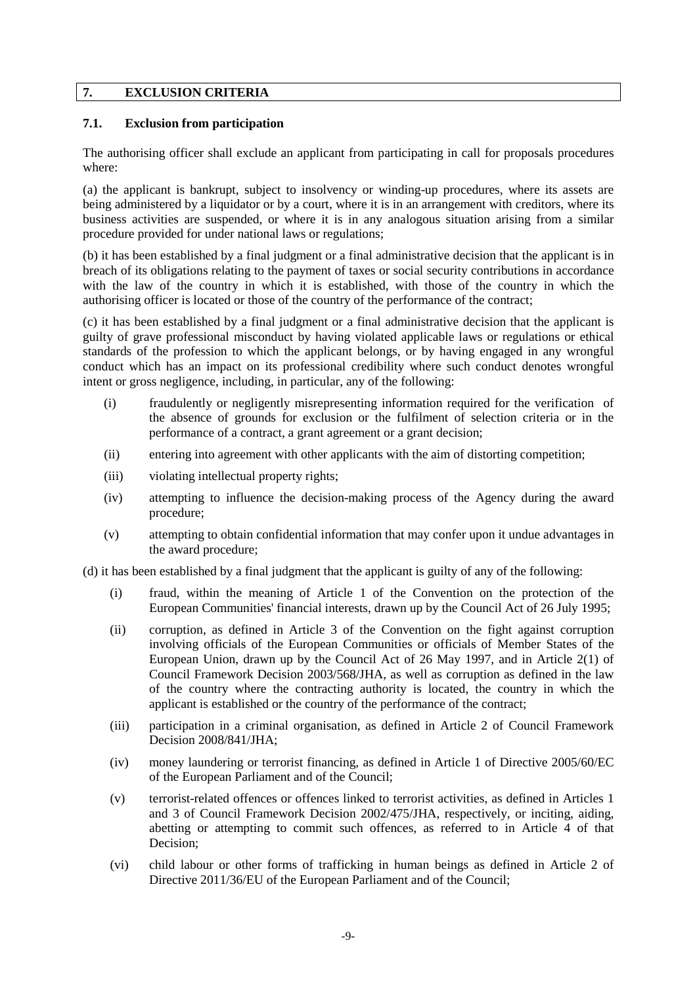# **7. EXCLUSION CRITERIA**

# **7.1. Exclusion from participation**

The authorising officer shall exclude an applicant from participating in call for proposals procedures where:

(a) the applicant is bankrupt, subject to insolvency or winding-up procedures, where its assets are being administered by a liquidator or by a court, where it is in an arrangement with creditors, where its business activities are suspended, or where it is in any analogous situation arising from a similar procedure provided for under national laws or regulations;

(b) it has been established by a final judgment or a final administrative decision that the applicant is in breach of its obligations relating to the payment of taxes or social security contributions in accordance with the law of the country in which it is established, with those of the country in which the authorising officer is located or those of the country of the performance of the contract;

(c) it has been established by a final judgment or a final administrative decision that the applicant is guilty of grave professional misconduct by having violated applicable laws or regulations or ethical standards of the profession to which the applicant belongs, or by having engaged in any wrongful conduct which has an impact on its professional credibility where such conduct denotes wrongful intent or gross negligence, including, in particular, any of the following:

- (i) fraudulently or negligently misrepresenting information required for the verification of the absence of grounds for exclusion or the fulfilment of selection criteria or in the performance of a contract, a grant agreement or a grant decision;
- (ii) entering into agreement with other applicants with the aim of distorting competition;
- (iii) violating intellectual property rights;
- (iv) attempting to influence the decision-making process of the Agency during the award procedure;
- (v) attempting to obtain confidential information that may confer upon it undue advantages in the award procedure;

(d) it has been established by a final judgment that the applicant is guilty of any of the following:

- (i) fraud, within the meaning of Article 1 of the Convention on the protection of the European Communities' financial interests, drawn up by the Council Act of 26 July 1995;
- (ii) corruption, as defined in Article 3 of the Convention on the fight against corruption involving officials of the European Communities or officials of Member States of the European Union, drawn up by the Council Act of 26 May 1997, and in Article 2(1) of Council Framework Decision 2003/568/JHA, as well as corruption as defined in the law of the country where the contracting authority is located, the country in which the applicant is established or the country of the performance of the contract;
- (iii) participation in a criminal organisation, as defined in Article 2 of Council Framework Decision 2008/841/JHA;
- (iv) money laundering or terrorist financing, as defined in Article 1 of Directive 2005/60/EC of the European Parliament and of the Council;
- (v) terrorist-related offences or offences linked to terrorist activities, as defined in Articles 1 and 3 of Council Framework Decision 2002/475/JHA, respectively, or inciting, aiding, abetting or attempting to commit such offences, as referred to in Article 4 of that Decision;
- (vi) child labour or other forms of trafficking in human beings as defined in Article 2 of Directive 2011/36/EU of the European Parliament and of the Council;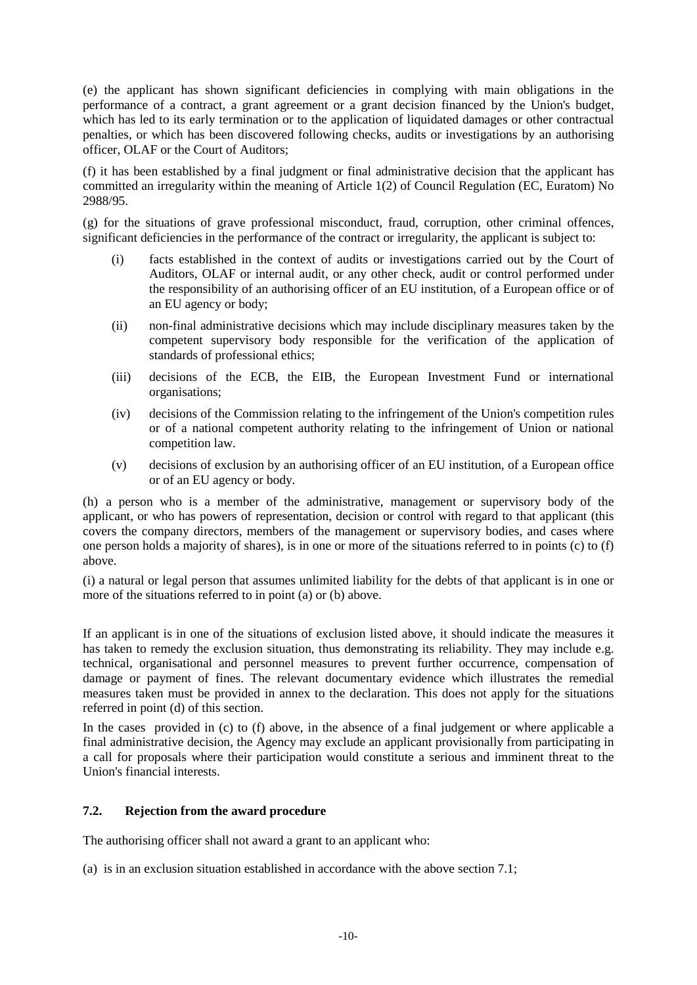(e) the applicant has shown significant deficiencies in complying with main obligations in the performance of a contract, a grant agreement or a grant decision financed by the Union's budget, which has led to its early termination or to the application of liquidated damages or other contractual penalties, or which has been discovered following checks, audits or investigations by an authorising officer, OLAF or the Court of Auditors;

(f) it has been established by a final judgment or final administrative decision that the applicant has committed an irregularity within the meaning of Article 1(2) of Council Regulation (EC, Euratom) No 2988/95.

(g) for the situations of grave professional misconduct, fraud, corruption, other criminal offences, significant deficiencies in the performance of the contract or irregularity, the applicant is subject to:

- (i) facts established in the context of audits or investigations carried out by the Court of Auditors, OLAF or internal audit, or any other check, audit or control performed under the responsibility of an authorising officer of an EU institution, of a European office or of an EU agency or body;
- (ii) non-final administrative decisions which may include disciplinary measures taken by the competent supervisory body responsible for the verification of the application of standards of professional ethics;
- (iii) decisions of the ECB, the EIB, the European Investment Fund or international organisations;
- (iv) decisions of the Commission relating to the infringement of the Union's competition rules or of a national competent authority relating to the infringement of Union or national competition law.
- (v) decisions of exclusion by an authorising officer of an EU institution, of a European office or of an EU agency or body.

(h) a person who is a member of the administrative, management or supervisory body of the applicant, or who has powers of representation, decision or control with regard to that applicant (this covers the company directors, members of the management or supervisory bodies, and cases where one person holds a majority of shares), is in one or more of the situations referred to in points (c) to (f) above.

(i) a natural or legal person that assumes unlimited liability for the debts of that applicant is in one or more of the situations referred to in point (a) or (b) above.

If an applicant is in one of the situations of exclusion listed above, it should indicate the measures it has taken to remedy the exclusion situation, thus demonstrating its reliability. They may include e.g. technical, organisational and personnel measures to prevent further occurrence, compensation of damage or payment of fines. The relevant documentary evidence which illustrates the remedial measures taken must be provided in annex to the declaration. This does not apply for the situations referred in point (d) of this section.

In the cases provided in (c) to (f) above, in the absence of a final judgement or where applicable a final administrative decision, the Agency may exclude an applicant provisionally from participating in a call for proposals where their participation would constitute a serious and imminent threat to the Union's financial interests.

# **7.2. Rejection from the award procedure**

The authorising officer shall not award a grant to an applicant who:

(a) is in an exclusion situation established in accordance with the above section 7.1;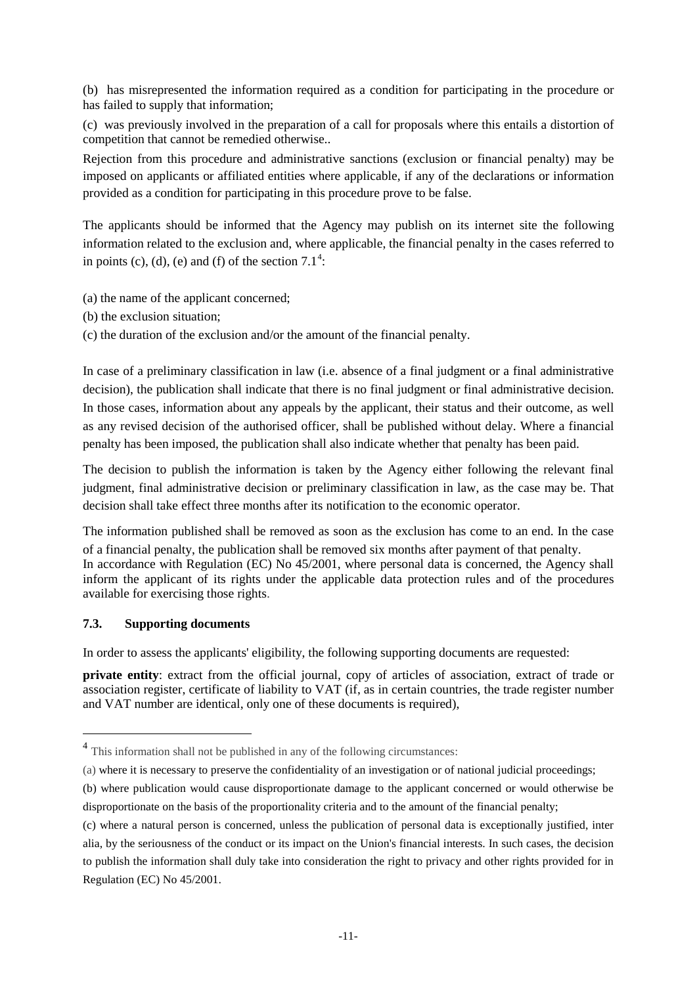(b) has misrepresented the information required as a condition for participating in the procedure or has failed to supply that information;

(c) was previously involved in the preparation of a call for proposals where this entails a distortion of competition that cannot be remedied otherwise..

Rejection from this procedure and administrative sanctions (exclusion or financial penalty) may be imposed on applicants or affiliated entities where applicable, if any of the declarations or information provided as a condition for participating in this procedure prove to be false.

The applicants should be informed that the Agency may publish on its internet site the following information related to the exclusion and, where applicable, the financial penalty in the cases referred to in points (c), (d), (e) and (f) of the section  $7.1<sup>4</sup>$  $7.1<sup>4</sup>$  $7.1<sup>4</sup>$ :

- (a) the name of the applicant concerned;
- (b) the exclusion situation;
- (c) the duration of the exclusion and/or the amount of the financial penalty.

In case of a preliminary classification in law (i.e. absence of a final judgment or a final administrative decision), the publication shall indicate that there is no final judgment or final administrative decision. In those cases, information about any appeals by the applicant, their status and their outcome, as well as any revised decision of the authorised officer, shall be published without delay. Where a financial penalty has been imposed, the publication shall also indicate whether that penalty has been paid.

The decision to publish the information is taken by the Agency either following the relevant final judgment, final administrative decision or preliminary classification in law, as the case may be. That decision shall take effect three months after its notification to the economic operator.

The information published shall be removed as soon as the exclusion has come to an end. In the case of a financial penalty, the publication shall be removed six months after payment of that penalty.

In accordance with Regulation (EC) No 45/2001, where personal data is concerned, the Agency shall inform the applicant of its rights under the applicable data protection rules and of the procedures available for exercising those rights.

#### **7.3. Supporting documents**

 $\overline{a}$ 

In order to assess the applicants' eligibility, the following supporting documents are requested:

**private entity**: extract from the official journal, copy of articles of association, extract of trade or association register, certificate of liability to VAT (if, as in certain countries, the trade register number and VAT number are identical, only one of these documents is required),

<span id="page-10-0"></span><sup>&</sup>lt;sup>4</sup> This information shall not be published in any of the following circumstances:

<sup>(</sup>a) where it is necessary to preserve the confidentiality of an investigation or of national judicial proceedings;

<sup>(</sup>b) where publication would cause disproportionate damage to the applicant concerned or would otherwise be disproportionate on the basis of the proportionality criteria and to the amount of the financial penalty;

<sup>(</sup>c) where a natural person is concerned, unless the publication of personal data is exceptionally justified, inter alia, by the seriousness of the conduct or its impact on the Union's financial interests. In such cases, the decision to publish the information shall duly take into consideration the right to privacy and other rights provided for in Regulation (EC) No 45/2001.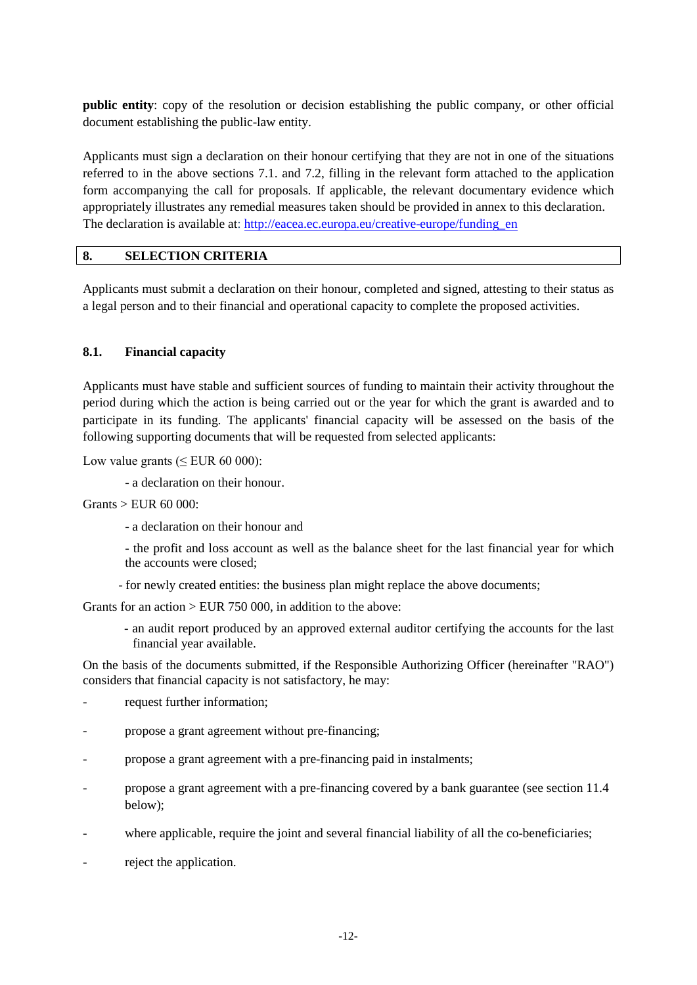**public entity**: copy of the resolution or decision establishing the public company, or other official document establishing the public-law entity.

Applicants must sign a declaration on their honour certifying that they are not in one of the situations referred to in the above sections 7.1. and 7.2, filling in the relevant form attached to the application form accompanying the call for proposals. If applicable, the relevant documentary evidence which appropriately illustrates any remedial measures taken should be provided in annex to this declaration. The declaration is available at: [http://eacea.ec.europa.eu/creative-europe/funding\\_en](http://eacea.ec.europa.eu/creative-europe/funding_en)

# **8. SELECTION CRITERIA**

Applicants must submit a declaration on their honour, completed and signed, attesting to their status as a legal person and to their financial and operational capacity to complete the proposed activities.

### **8.1. Financial capacity**

Applicants must have stable and sufficient sources of funding to maintain their activity throughout the period during which the action is being carried out or the year for which the grant is awarded and to participate in its funding. The applicants' financial capacity will be assessed on the basis of the following supporting documents that will be requested from selected applicants:

Low value grants  $( $EUR\ 60\ 000$ ):$ 

- a declaration on their honour.

Grants > EUR 60 000:

- a declaration on their honour and

- the profit and loss account as well as the balance sheet for the last financial year for which the accounts were closed;

- for newly created entities: the business plan might replace the above documents;

Grants for an action > EUR 750 000, in addition to the above:

- an audit report produced by an approved external auditor certifying the accounts for the last financial year available.

On the basis of the documents submitted, if the Responsible Authorizing Officer (hereinafter "RAO") considers that financial capacity is not satisfactory, he may:

- request further information;
- propose a grant agreement without pre-financing;
- propose a grant agreement with a pre-financing paid in instalments;
- propose a grant agreement with a pre-financing covered by a bank guarantee (see section 11.4 below);
- where applicable, require the joint and several financial liability of all the co-beneficiaries;
- reject the application.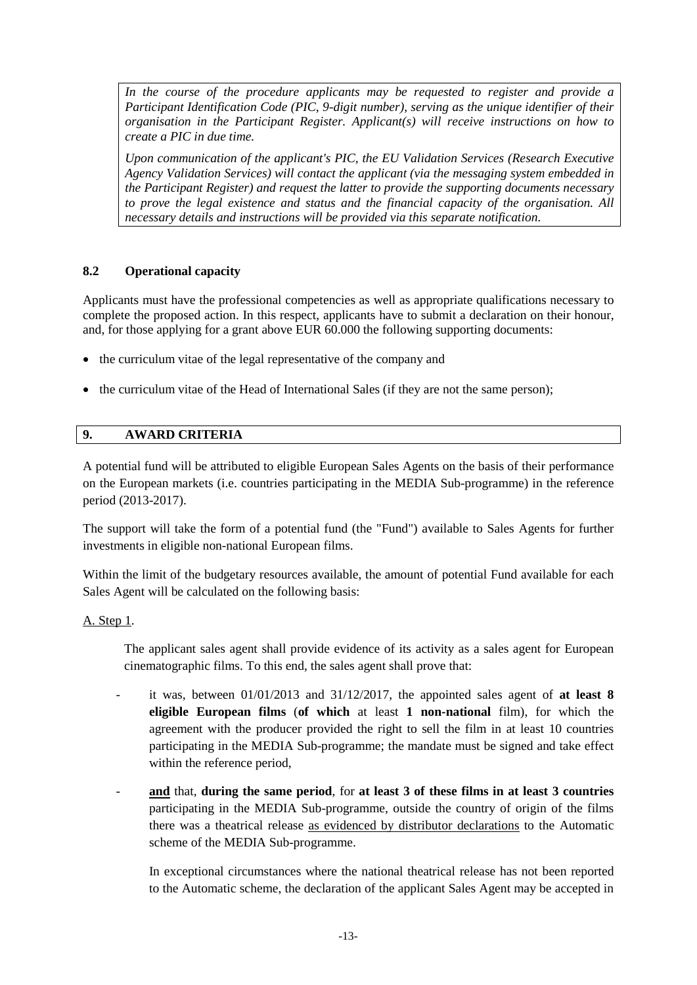In the course of the procedure applicants may be requested to register and provide a *Participant Identification Code (PIC, 9-digit number), serving as the unique identifier of their organisation in the Participant Register. Applicant(s) will receive instructions on how to create a PIC in due time.*

*Upon communication of the applicant's PIC, the EU Validation Services (Research Executive Agency Validation Services) will contact the applicant (via the messaging system embedded in the Participant Register) and request the latter to provide the supporting documents necessary to prove the legal existence and status and the financial capacity of the organisation. All necessary details and instructions will be provided via this separate notification.*

# **8.2 Operational capacity**

Applicants must have the professional competencies as well as appropriate qualifications necessary to complete the proposed action. In this respect, applicants have to submit a declaration on their honour, and, for those applying for a grant above EUR 60.000 the following supporting documents:

- the curriculum vitae of the legal representative of the company and
- the curriculum vitae of the Head of International Sales (if they are not the same person);

# **9. AWARD CRITERIA**

A potential fund will be attributed to eligible European Sales Agents on the basis of their performance on the European markets (i.e. countries participating in the MEDIA Sub-programme) in the reference period (2013-2017).

The support will take the form of a potential fund (the "Fund") available to Sales Agents for further investments in eligible non-national European films.

Within the limit of the budgetary resources available, the amount of potential Fund available for each Sales Agent will be calculated on the following basis:

# A. Step 1.

The applicant sales agent shall provide evidence of its activity as a sales agent for European cinematographic films. To this end, the sales agent shall prove that:

- it was, between  $01/01/2013$  and  $31/12/2017$ , the appointed sales agent of **at least 8 eligible European films** (**of which** at least **1 non-national** film), for which the agreement with the producer provided the right to sell the film in at least 10 countries participating in the MEDIA Sub-programme; the mandate must be signed and take effect within the reference period,
- **and** that, **during the same period**, for **at least 3 of these films in at least 3 countries**  participating in the MEDIA Sub-programme, outside the country of origin of the films there was a theatrical release as evidenced by distributor declarations to the Automatic scheme of the MEDIA Sub-programme.

In exceptional circumstances where the national theatrical release has not been reported to the Automatic scheme, the declaration of the applicant Sales Agent may be accepted in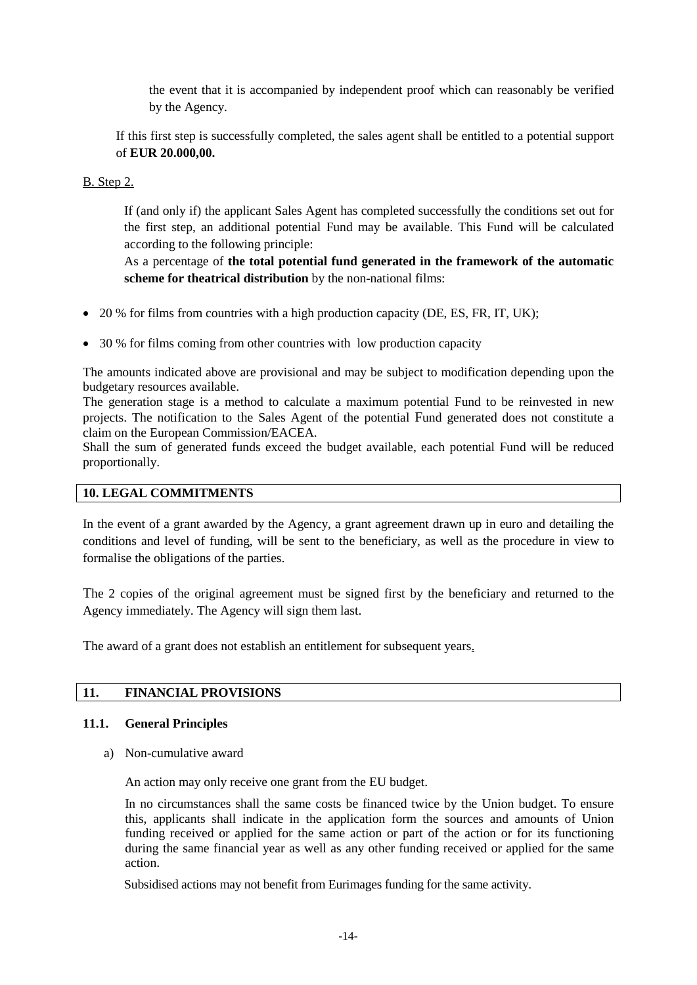the event that it is accompanied by independent proof which can reasonably be verified by the Agency.

If this first step is successfully completed, the sales agent shall be entitled to a potential support of **EUR 20.000,00.**

# B. Step 2.

If (and only if) the applicant Sales Agent has completed successfully the conditions set out for the first step, an additional potential Fund may be available. This Fund will be calculated according to the following principle:

As a percentage of **the total potential fund generated in the framework of the automatic scheme for theatrical distribution** by the non-national films:

- 20 % for films from countries with a high production capacity (DE, ES, FR, IT, UK);
- 30 % for films coming from other countries with low production capacity

The amounts indicated above are provisional and may be subject to modification depending upon the budgetary resources available.

The generation stage is a method to calculate a maximum potential Fund to be reinvested in new projects. The notification to the Sales Agent of the potential Fund generated does not constitute a claim on the European Commission/EACEA.

Shall the sum of generated funds exceed the budget available, each potential Fund will be reduced proportionally.

#### **10. LEGAL COMMITMENTS**

In the event of a grant awarded by the Agency, a grant agreement drawn up in euro and detailing the conditions and level of funding, will be sent to the beneficiary, as well as the procedure in view to formalise the obligations of the parties.

The 2 copies of the original agreement must be signed first by the beneficiary and returned to the Agency immediately. The Agency will sign them last.

The award of a grant does not establish an entitlement for subsequent years.

# **11. FINANCIAL PROVISIONS**

#### **11.1. General Principles**

a) Non-cumulative award

An action may only receive one grant from the EU budget.

In no circumstances shall the same costs be financed twice by the Union budget. To ensure this, applicants shall indicate in the application form the sources and amounts of Union funding received or applied for the same action or part of the action or for its functioning during the same financial year as well as any other funding received or applied for the same action.

Subsidised actions may not benefit from Eurimages funding for the same activity.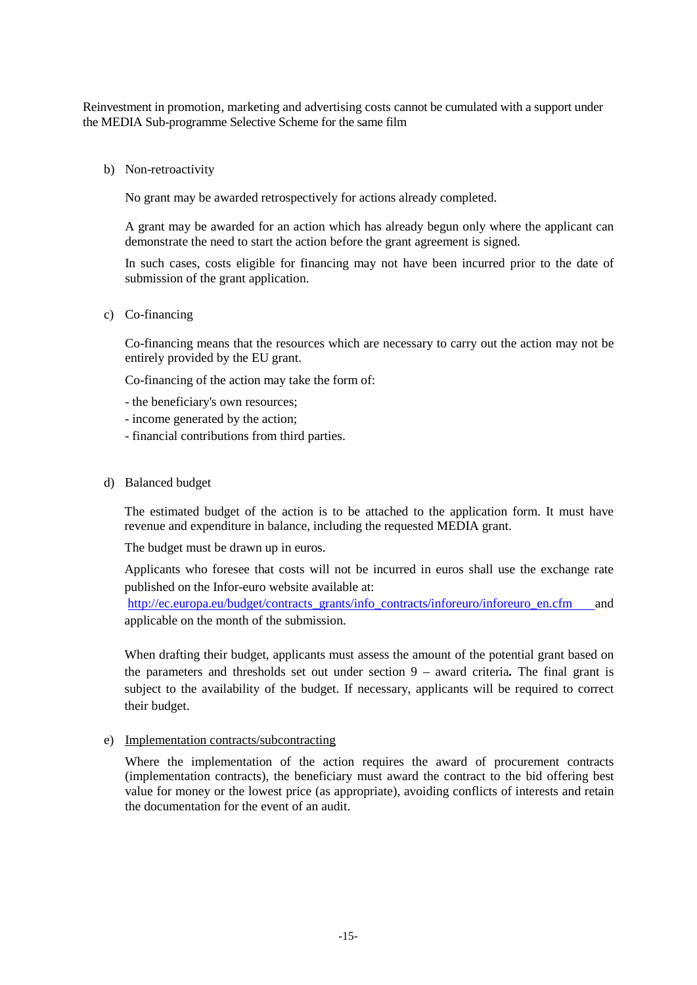Reinvestment in promotion, marketing and advertising costs cannot be cumulated with a support under the MEDIA Sub-programme Selective Scheme for the same film

b) Non-retroactivity

No grant may be awarded retrospectively for actions already completed.

A grant may be awarded for an action which has already begun only where the applicant can demonstrate the need to start the action before the grant agreement is signed.

In such cases, costs eligible for financing may not have been incurred prior to the date of submission of the grant application.

c) Co-financing

Co-financing means that the resources which are necessary to carry out the action may not be entirely provided by the EU grant.

Co-financing of the action may take the form of:

- the beneficiary's own resources;
- income generated by the action;
- financial contributions from third parties.
- d) Balanced budget

The estimated budget of the action is to be attached to the application form. It must have revenue and expenditure in balance, including the requested MEDIA grant.

The budget must be drawn up in euros.

Applicants who foresee that costs will not be incurred in euros shall use the exchange rate published on the Infor-euro website available at:

[http://ec.europa.eu/budget/contracts\\_grants/info\\_contracts/inforeuro/inforeuro\\_en.cfm](http://ec.europa.eu/budget/contracts_grants/info_contracts/inforeuro/inforeuro_en.cfm) and applicable on the month of the submission.

When drafting their budget, applicants must assess the amount of the potential grant based on the parameters and thresholds set out under section 9 – award criteria*.* The final grant is subject to the availability of the budget. If necessary, applicants will be required to correct their budget.

e) Implementation contracts/subcontracting

Where the implementation of the action requires the award of procurement contracts (implementation contracts), the beneficiary must award the contract to the bid offering best value for money or the lowest price (as appropriate), avoiding conflicts of interests and retain the documentation for the event of an audit.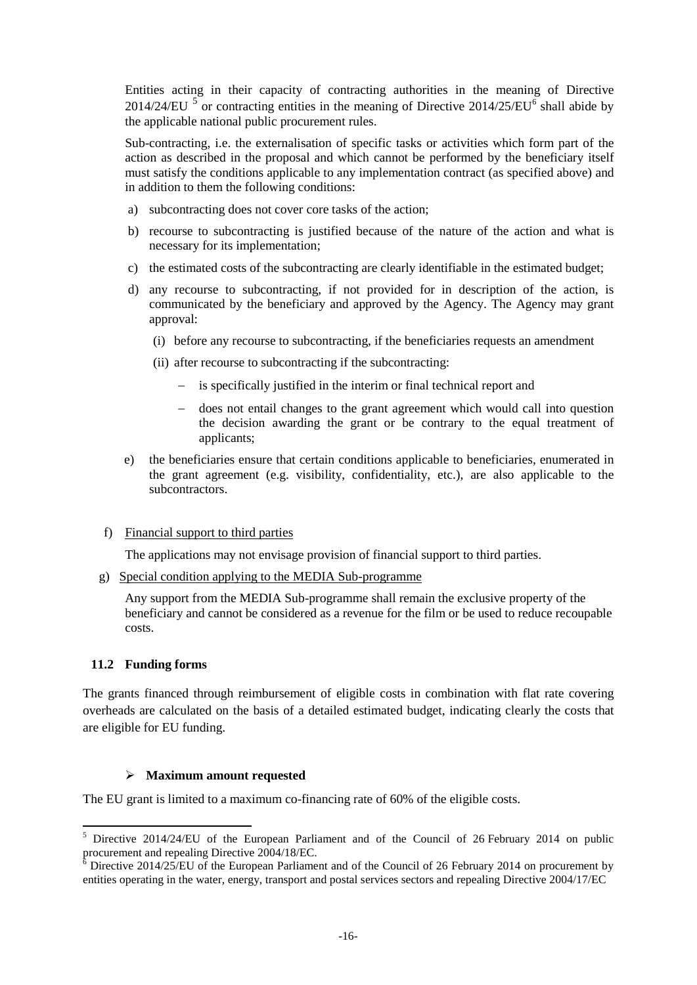Entities acting in their capacity of contracting authorities in the meaning of Directive 2014/24/EU  $^5$  $^5$  or contracting entities in the meaning of Directive 2014/25/EU $^6$  $^6$  shall abide by the applicable national public procurement rules.

Sub-contracting, i.e. the externalisation of specific tasks or activities which form part of the action as described in the proposal and which cannot be performed by the beneficiary itself must satisfy the conditions applicable to any implementation contract (as specified above) and in addition to them the following conditions:

- a) subcontracting does not cover core tasks of the action;
- b) recourse to subcontracting is justified because of the nature of the action and what is necessary for its implementation;
- c) the estimated costs of the subcontracting are clearly identifiable in the estimated budget;
- d) any recourse to subcontracting, if not provided for in description of the action, is communicated by the beneficiary and approved by the Agency. The Agency may grant approval:
	- (i) before any recourse to subcontracting, if the beneficiaries requests an amendment
	- (ii) after recourse to subcontracting if the subcontracting:
		- − is specifically justified in the interim or final technical report and
		- − does not entail changes to the grant agreement which would call into question the decision awarding the grant or be contrary to the equal treatment of applicants;
- e) the beneficiaries ensure that certain conditions applicable to beneficiaries, enumerated in the grant agreement (e.g. visibility, confidentiality, etc.), are also applicable to the subcontractors.
- f) Financial support to third parties

The applications may not envisage provision of financial support to third parties.

g) Special condition applying to the MEDIA Sub-programme

Any support from the MEDIA Sub-programme shall remain the exclusive property of the beneficiary and cannot be considered as a revenue for the film or be used to reduce recoupable costs.

#### **11.2 Funding forms**

The grants financed through reimbursement of eligible costs in combination with flat rate covering overheads are calculated on the basis of a detailed estimated budget, indicating clearly the costs that are eligible for EU funding.

#### **Maximum amount requested**

The EU grant is limited to a maximum co-financing rate of 60% of the eligible costs.

<span id="page-15-0"></span> $5$  Directive 2014/24/EU of the European Parliament and of the Council of 26 February 2014 on public procurement and repealing Directive 2004/18/EC.

<span id="page-15-1"></span>Directive 2014/25/EU of the European Parliament and of the Council of 26 February 2014 on procurement by entities operating in the water, energy, transport and postal services sectors and repealing Directive 2004/17/EC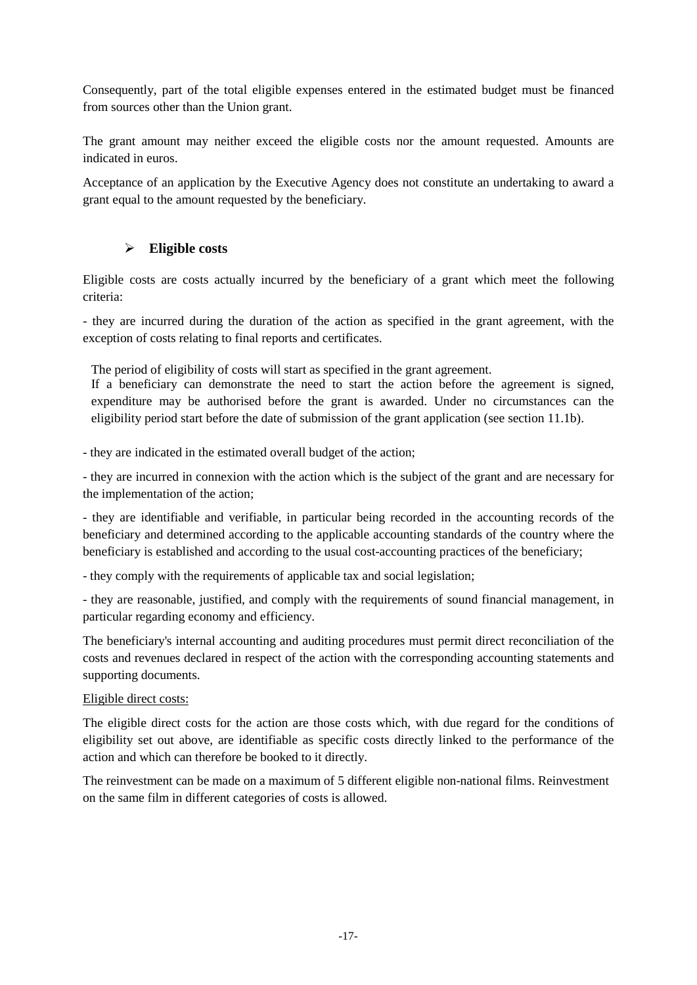Consequently, part of the total eligible expenses entered in the estimated budget must be financed from sources other than the Union grant.

The grant amount may neither exceed the eligible costs nor the amount requested. Amounts are indicated in euros.

Acceptance of an application by the Executive Agency does not constitute an undertaking to award a grant equal to the amount requested by the beneficiary.

# **Eligible costs**

Eligible costs are costs actually incurred by the beneficiary of a grant which meet the following criteria:

- they are incurred during the duration of the action as specified in the grant agreement, with the exception of costs relating to final reports and certificates.

The period of eligibility of costs will start as specified in the grant agreement.

If a beneficiary can demonstrate the need to start the action before the agreement is signed, expenditure may be authorised before the grant is awarded. Under no circumstances can the eligibility period start before the date of submission of the grant application (see section 11.1b).

- they are indicated in the estimated overall budget of the action;

- they are incurred in connexion with the action which is the subject of the grant and are necessary for the implementation of the action;

- they are identifiable and verifiable, in particular being recorded in the accounting records of the beneficiary and determined according to the applicable accounting standards of the country where the beneficiary is established and according to the usual cost-accounting practices of the beneficiary;

- they comply with the requirements of applicable tax and social legislation;

- they are reasonable, justified, and comply with the requirements of sound financial management, in particular regarding economy and efficiency.

The beneficiary's internal accounting and auditing procedures must permit direct reconciliation of the costs and revenues declared in respect of the action with the corresponding accounting statements and supporting documents.

#### Eligible direct costs:

The eligible direct costs for the action are those costs which, with due regard for the conditions of eligibility set out above, are identifiable as specific costs directly linked to the performance of the action and which can therefore be booked to it directly.

The reinvestment can be made on a maximum of 5 different eligible non-national films. Reinvestment on the same film in different categories of costs is allowed.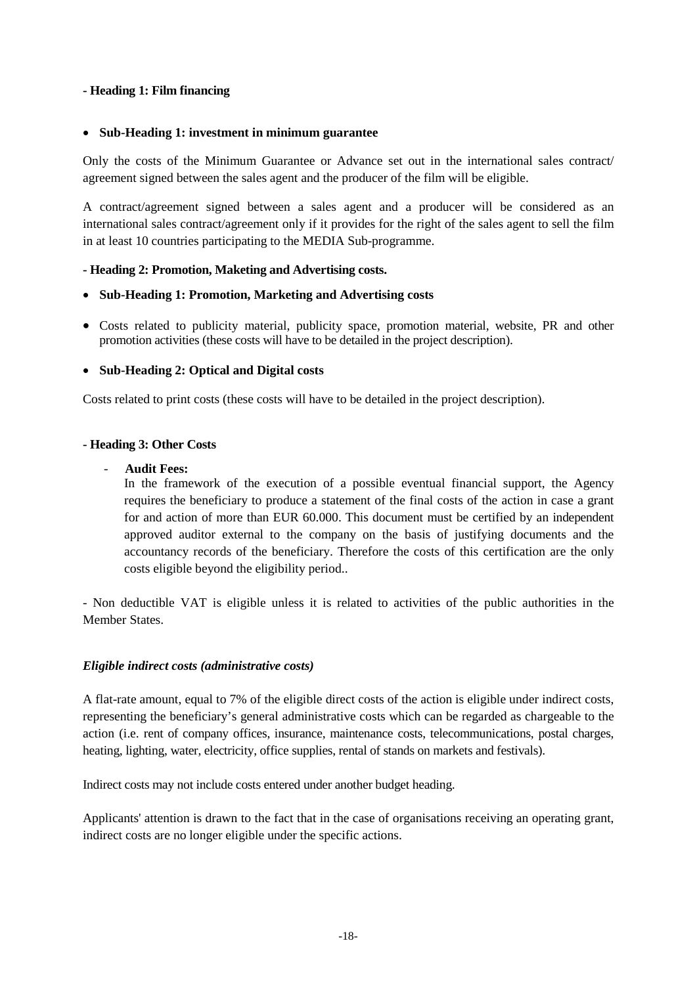### **- Heading 1: Film financing**

#### • **Sub-Heading 1: investment in minimum guarantee**

Only the costs of the Minimum Guarantee or Advance set out in the international sales contract/ agreement signed between the sales agent and the producer of the film will be eligible.

A contract/agreement signed between a sales agent and a producer will be considered as an international sales contract/agreement only if it provides for the right of the sales agent to sell the film in at least 10 countries participating to the MEDIA Sub-programme.

### **- Heading 2: Promotion, Maketing and Advertising costs.**

### • **Sub-Heading 1: Promotion, Marketing and Advertising costs**

• Costs related to publicity material, publicity space, promotion material, website, PR and other promotion activities (these costs will have to be detailed in the project description).

### • **Sub-Heading 2: Optical and Digital costs**

Costs related to print costs (these costs will have to be detailed in the project description).

### **- Heading 3: Other Costs**

### - **Audit Fees:**

In the framework of the execution of a possible eventual financial support, the Agency requires the beneficiary to produce a statement of the final costs of the action in case a grant for and action of more than EUR 60.000. This document must be certified by an independent approved auditor external to the company on the basis of justifying documents and the accountancy records of the beneficiary. Therefore the costs of this certification are the only costs eligible beyond the eligibility period..

- Non deductible VAT is eligible unless it is related to activities of the public authorities in the Member States.

#### *Eligible indirect costs (administrative costs)*

A flat-rate amount, equal to 7% of the eligible direct costs of the action is eligible under indirect costs, representing the beneficiary's general administrative costs which can be regarded as chargeable to the action (i.e. rent of company offices, insurance, maintenance costs, telecommunications, postal charges, heating, lighting, water, electricity, office supplies, rental of stands on markets and festivals).

Indirect costs may not include costs entered under another budget heading.

Applicants' attention is drawn to the fact that in the case of organisations receiving an operating grant, indirect costs are no longer eligible under the specific actions.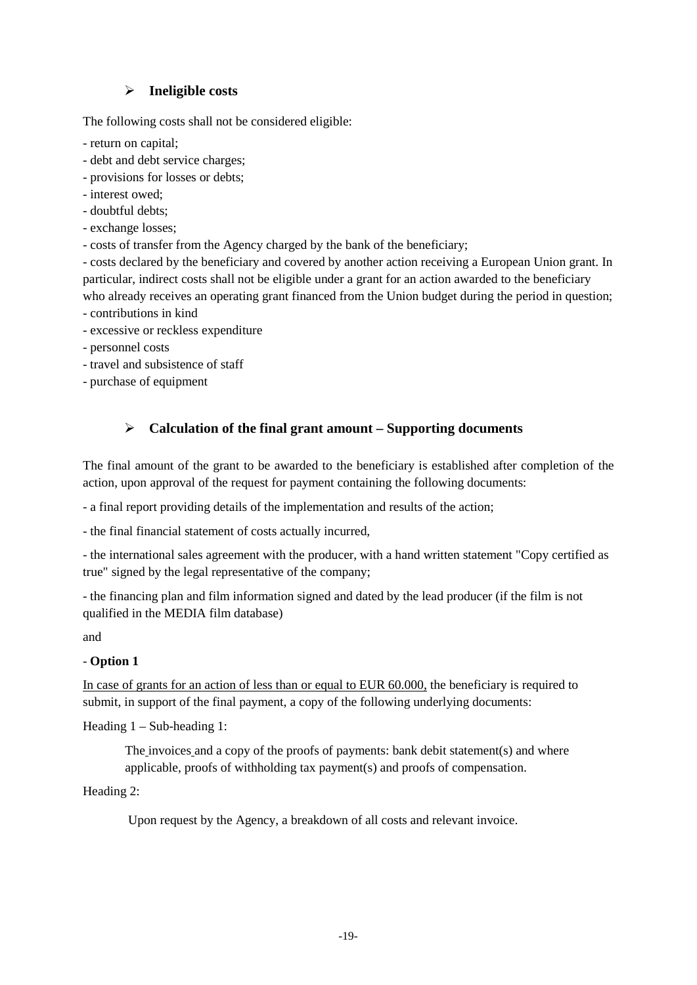# **Ineligible costs**

The following costs shall not be considered eligible:

- return on capital;
- debt and debt service charges;
- provisions for losses or debts;
- interest owed;
- doubtful debts;
- exchange losses;
- costs of transfer from the Agency charged by the bank of the beneficiary;

- costs declared by the beneficiary and covered by another action receiving a European Union grant. In particular, indirect costs shall not be eligible under a grant for an action awarded to the beneficiary who already receives an operating grant financed from the Union budget during the period in question;

- contributions in kind
- excessive or reckless expenditure
- personnel costs
- travel and subsistence of staff
- purchase of equipment

# **Calculation of the final grant amount – Supporting documents**

The final amount of the grant to be awarded to the beneficiary is established after completion of the action, upon approval of the request for payment containing the following documents:

- a final report providing details of the implementation and results of the action;

- the final financial statement of costs actually incurred,

- the international sales agreement with the producer, with a hand written statement "Copy certified as true" signed by the legal representative of the company;

- the financing plan and film information signed and dated by the lead producer (if the film is not qualified in the MEDIA film database)

and

# - **Option 1**

In case of grants for an action of less than or equal to EUR 60.000, the beneficiary is required to submit, in support of the final payment, a copy of the following underlying documents:

Heading 1 – Sub-heading 1:

The invoices and a copy of the proofs of payments: bank debit statement(s) and where applicable, proofs of withholding tax payment(s) and proofs of compensation.

Heading 2:

Upon request by the Agency, a breakdown of all costs and relevant invoice.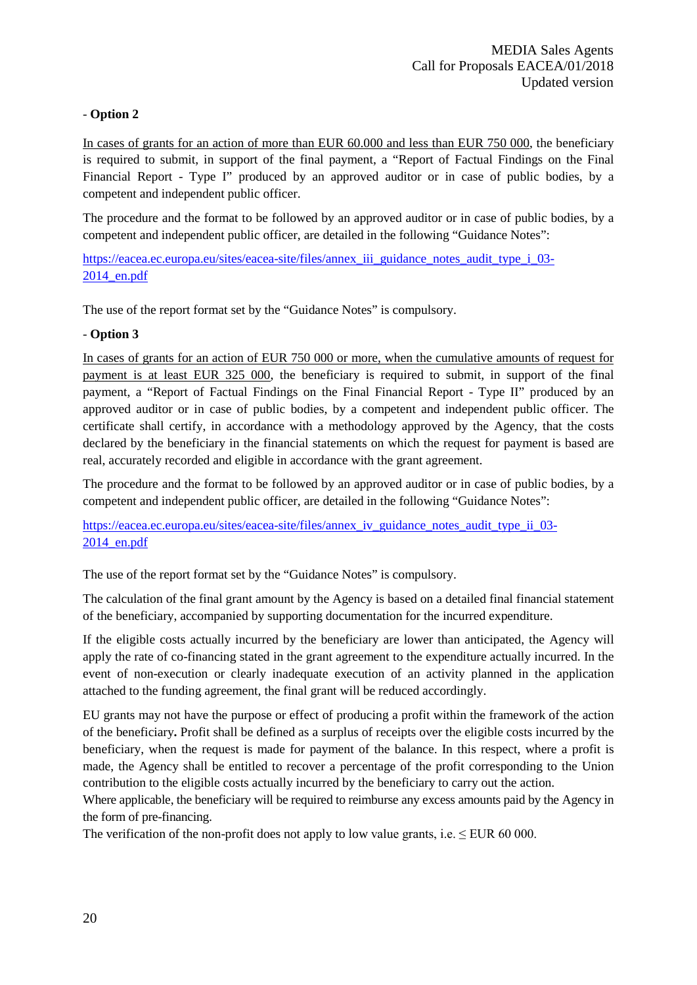# - **Option 2**

In cases of grants for an action of more than EUR 60.000 and less than EUR 750 000, the beneficiary is required to submit, in support of the final payment, a "Report of Factual Findings on the Final Financial Report - Type I" produced by an approved auditor or in case of public bodies, by a competent and independent public officer.

The procedure and the format to be followed by an approved auditor or in case of public bodies, by a competent and independent public officer, are detailed in the following "Guidance Notes":

[https://eacea.ec.europa.eu/sites/eacea-site/files/annex\\_iii\\_guidance\\_notes\\_audit\\_type\\_i\\_03-](https://eacea.ec.europa.eu/sites/eacea-site/files/annex_iii_guidance_notes_audit_type_i_03-2014_en.pdf) [2014\\_en.pdf](https://eacea.ec.europa.eu/sites/eacea-site/files/annex_iii_guidance_notes_audit_type_i_03-2014_en.pdf)

The use of the report format set by the "Guidance Notes" is compulsory.

# - **Option 3**

In cases of grants for an action of EUR 750 000 or more, when the cumulative amounts of request for payment is at least EUR 325 000, the beneficiary is required to submit, in support of the final payment, a "Report of Factual Findings on the Final Financial Report - Type II" produced by an approved auditor or in case of public bodies, by a competent and independent public officer. The certificate shall certify, in accordance with a methodology approved by the Agency, that the costs declared by the beneficiary in the financial statements on which the request for payment is based are real, accurately recorded and eligible in accordance with the grant agreement.

The procedure and the format to be followed by an approved auditor or in case of public bodies, by a competent and independent public officer, are detailed in the following "Guidance Notes":

[https://eacea.ec.europa.eu/sites/eacea-site/files/annex\\_iv\\_guidance\\_notes\\_audit\\_type\\_ii\\_03-](https://eacea.ec.europa.eu/sites/eacea-site/files/annex_iv_guidance_notes_audit_type_ii_03-2014_en.pdf) [2014\\_en.pdf](https://eacea.ec.europa.eu/sites/eacea-site/files/annex_iv_guidance_notes_audit_type_ii_03-2014_en.pdf)

The use of the report format set by the "Guidance Notes" is compulsory.

The calculation of the final grant amount by the Agency is based on a detailed final financial statement of the beneficiary, accompanied by supporting documentation for the incurred expenditure.

If the eligible costs actually incurred by the beneficiary are lower than anticipated, the Agency will apply the rate of co-financing stated in the grant agreement to the expenditure actually incurred. In the event of non-execution or clearly inadequate execution of an activity planned in the application attached to the funding agreement, the final grant will be reduced accordingly.

EU grants may not have the purpose or effect of producing a profit within the framework of the action of the beneficiary**.** Profit shall be defined as a surplus of receipts over the eligible costs incurred by the beneficiary, when the request is made for payment of the balance. In this respect, where a profit is made, the Agency shall be entitled to recover a percentage of the profit corresponding to the Union contribution to the eligible costs actually incurred by the beneficiary to carry out the action.

Where applicable, the beneficiary will be required to reimburse any excess amounts paid by the Agency in the form of pre-financing.

The verification of the non-profit does not apply to low value grants, i.e.  $\leq$  EUR 60 000.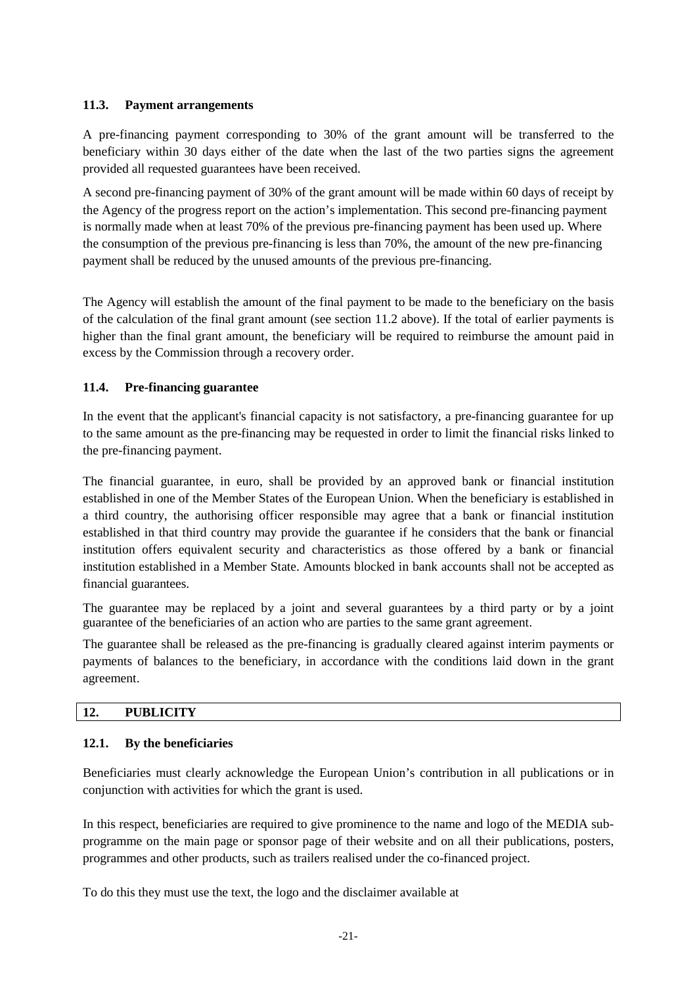### **11.3. Payment arrangements**

A pre-financing payment corresponding to 30% of the grant amount will be transferred to the beneficiary within 30 days either of the date when the last of the two parties signs the agreement provided all requested guarantees have been received.

A second pre-financing payment of 30% of the grant amount will be made within 60 days of receipt by the Agency of the progress report on the action's implementation. This second pre-financing payment is normally made when at least 70% of the previous pre-financing payment has been used up. Where the consumption of the previous pre-financing is less than 70%, the amount of the new pre-financing payment shall be reduced by the unused amounts of the previous pre-financing.

The Agency will establish the amount of the final payment to be made to the beneficiary on the basis of the calculation of the final grant amount (see section 11.2 above). If the total of earlier payments is higher than the final grant amount, the beneficiary will be required to reimburse the amount paid in excess by the Commission through a recovery order.

# **11.4. Pre-financing guarantee**

In the event that the applicant's financial capacity is not satisfactory, a pre-financing guarantee for up to the same amount as the pre-financing may be requested in order to limit the financial risks linked to the pre-financing payment.

The financial guarantee, in euro, shall be provided by an approved bank or financial institution established in one of the Member States of the European Union. When the beneficiary is established in a third country, the authorising officer responsible may agree that a bank or financial institution established in that third country may provide the guarantee if he considers that the bank or financial institution offers equivalent security and characteristics as those offered by a bank or financial institution established in a Member State. Amounts blocked in bank accounts shall not be accepted as financial guarantees.

The guarantee may be replaced by a joint and several guarantees by a third party or by a joint guarantee of the beneficiaries of an action who are parties to the same grant agreement.

The guarantee shall be released as the pre-financing is gradually cleared against interim payments or payments of balances to the beneficiary, in accordance with the conditions laid down in the grant agreement.

### **12. PUBLICITY**

#### **12.1. By the beneficiaries**

Beneficiaries must clearly acknowledge the European Union's contribution in all publications or in conjunction with activities for which the grant is used.

In this respect, beneficiaries are required to give prominence to the name and logo of the MEDIA subprogramme on the main page or sponsor page of their website and on all their publications, posters, programmes and other products, such as trailers realised under the co-financed project.

To do this they must use the text, the logo and the disclaimer available at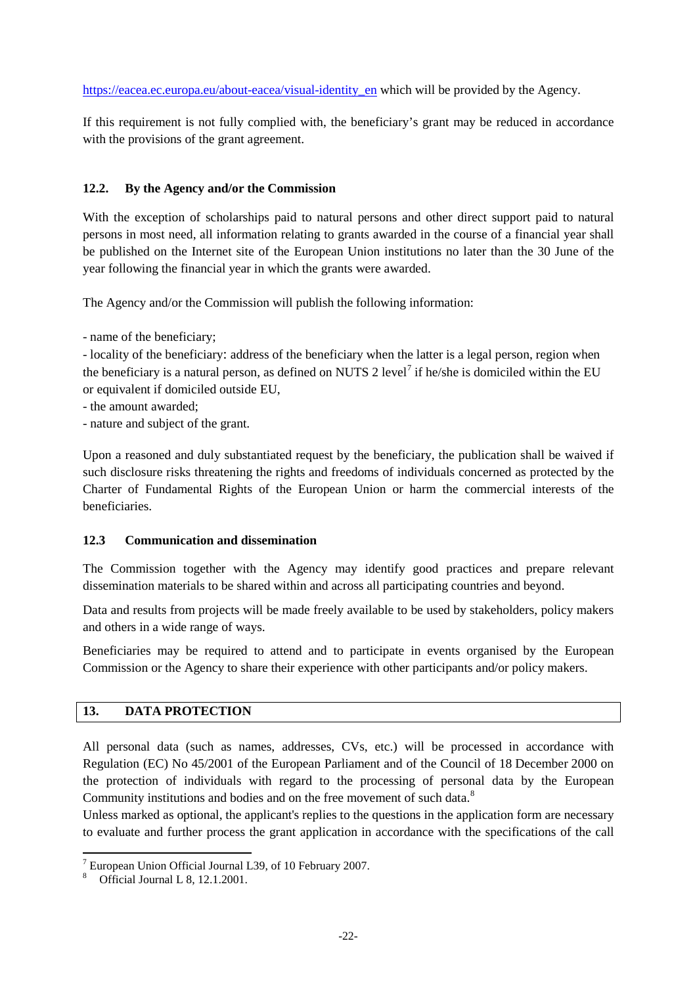[https://eacea.ec.europa.eu/about-eacea/visual-identity\\_en](https://eacea.ec.europa.eu/about-eacea/visual-identity_en) which will be provided by the Agency.

If this requirement is not fully complied with, the beneficiary's grant may be reduced in accordance with the provisions of the grant agreement.

# **12.2. By the Agency and/or the Commission**

With the exception of scholarships paid to natural persons and other direct support paid to natural persons in most need, all information relating to grants awarded in the course of a financial year shall be published on the Internet site of the European Union institutions no later than the 30 June of the year following the financial year in which the grants were awarded.

The Agency and/or the Commission will publish the following information:

- name of the beneficiary;

- locality of the beneficiary: address of the beneficiary when the latter is a legal person, region when the beneficiary is a natural person, as defined on NUTS 2 level<sup>[7](#page-21-0)</sup> if he/she is domiciled within the EU or equivalent if domiciled outside EU,

- the amount awarded;
- nature and subject of the grant.

Upon a reasoned and duly substantiated request by the beneficiary, the publication shall be waived if such disclosure risks threatening the rights and freedoms of individuals concerned as protected by the Charter of Fundamental Rights of the European Union or harm the commercial interests of the beneficiaries.

# **12.3 Communication and dissemination**

The Commission together with the Agency may identify good practices and prepare relevant dissemination materials to be shared within and across all participating countries and beyond.

Data and results from projects will be made freely available to be used by stakeholders, policy makers and others in a wide range of ways.

Beneficiaries may be required to attend and to participate in events organised by the European Commission or the Agency to share their experience with other participants and/or policy makers.

# **13. DATA PROTECTION**

All personal data (such as names, addresses, CVs, etc.) will be processed in accordance with Regulation (EC) No 45/2001 of the European Parliament and of the Council of 18 December 2000 on the protection of individuals with regard to the processing of personal data by the European Community institutions and bodies and on the free movement of such data.<sup>[8](#page-21-1)</sup>

Unless marked as optional, the applicant's replies to the questions in the application form are necessary to evaluate and further process the grant application in accordance with the specifications of the call

<span id="page-21-0"></span><sup>7</sup> European Union Official Journal L39, of 10 February 2007.

<span id="page-21-1"></span><sup>8</sup> Official Journal L 8, 12.1.2001.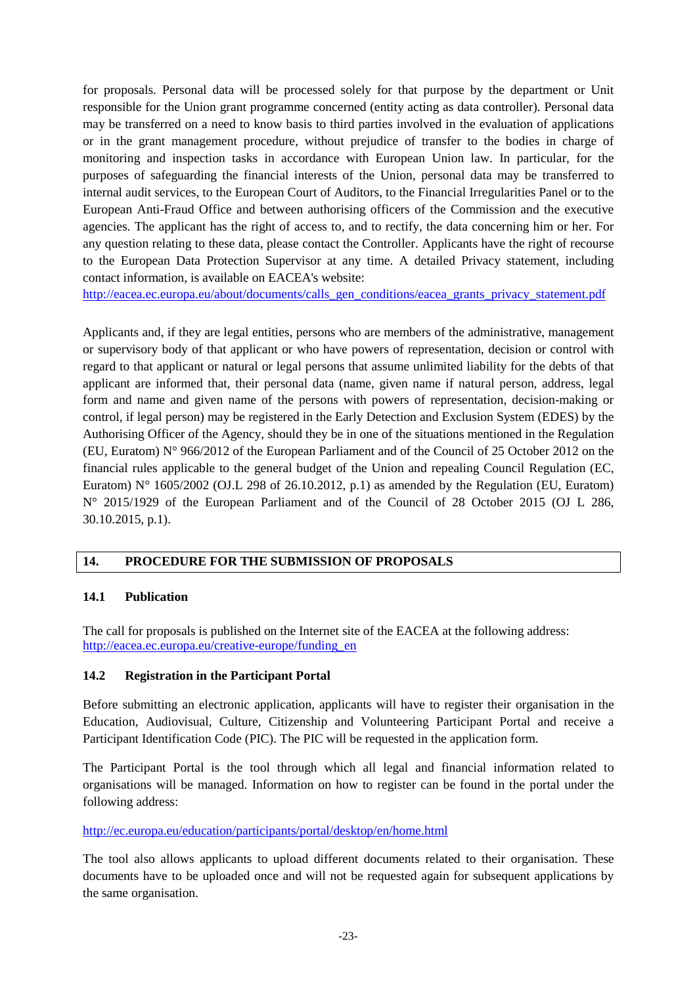for proposals. Personal data will be processed solely for that purpose by the department or Unit responsible for the Union grant programme concerned (entity acting as data controller). Personal data may be transferred on a need to know basis to third parties involved in the evaluation of applications or in the grant management procedure, without prejudice of transfer to the bodies in charge of monitoring and inspection tasks in accordance with European Union law. In particular, for the purposes of safeguarding the financial interests of the Union, personal data may be transferred to internal audit services, to the European Court of Auditors, to the Financial Irregularities Panel or to the European Anti-Fraud Office and between authorising officers of the Commission and the executive agencies. The applicant has the right of access to, and to rectify, the data concerning him or her. For any question relating to these data, please contact the Controller. Applicants have the right of recourse to the European Data Protection Supervisor at any time. A detailed Privacy statement, including contact information, is available on EACEA's website:

[http://eacea.ec.europa.eu/about/documents/calls\\_gen\\_conditions/eacea\\_grants\\_privacy\\_statement.pdf](http://eacea.ec.europa.eu/about/documents/calls_gen_conditions/eacea_grants_privacy_statement.pdf)

Applicants and, if they are legal entities, persons who are members of the administrative, management or supervisory body of that applicant or who have powers of representation, decision or control with regard to that applicant or natural or legal persons that assume unlimited liability for the debts of that applicant are informed that, their personal data (name, given name if natural person, address, legal form and name and given name of the persons with powers of representation, decision-making or control, if legal person) may be registered in the Early Detection and Exclusion System (EDES) by the Authorising Officer of the Agency, should they be in one of the situations mentioned in the Regulation (EU, Euratom) N° 966/2012 of the European Parliament and of the Council of 25 October 2012 on the financial rules applicable to the general budget of the Union and repealing Council Regulation (EC, Euratom) N° 1605/2002 (OJ.L 298 of 26.10.2012, p.1) as amended by the Regulation (EU, Euratom) N° 2015/1929 of the European Parliament and of the Council of 28 October 2015 (OJ L 286, 30.10.2015, p.1).

# **14. PROCEDURE FOR THE SUBMISSION OF PROPOSALS**

#### **14.1 Publication**

The call for proposals is published on the Internet site of the EACEA at the following address: [http://eacea.ec.europa.eu/creative-europe/funding\\_en](http://eacea.ec.europa.eu/creative-europe/funding_en)

# **14.2 Registration in the Participant Portal**

Before submitting an electronic application, applicants will have to register their organisation in the Education, Audiovisual, Culture, Citizenship and Volunteering Participant Portal and receive a Participant Identification Code (PIC). The PIC will be requested in the application form.

The Participant Portal is the tool through which all legal and financial information related to organisations will be managed. Information on how to register can be found in the portal under the following address:

#### <http://ec.europa.eu/education/participants/portal/desktop/en/home.html>

The tool also allows applicants to upload different documents related to their organisation. These documents have to be uploaded once and will not be requested again for subsequent applications by the same organisation.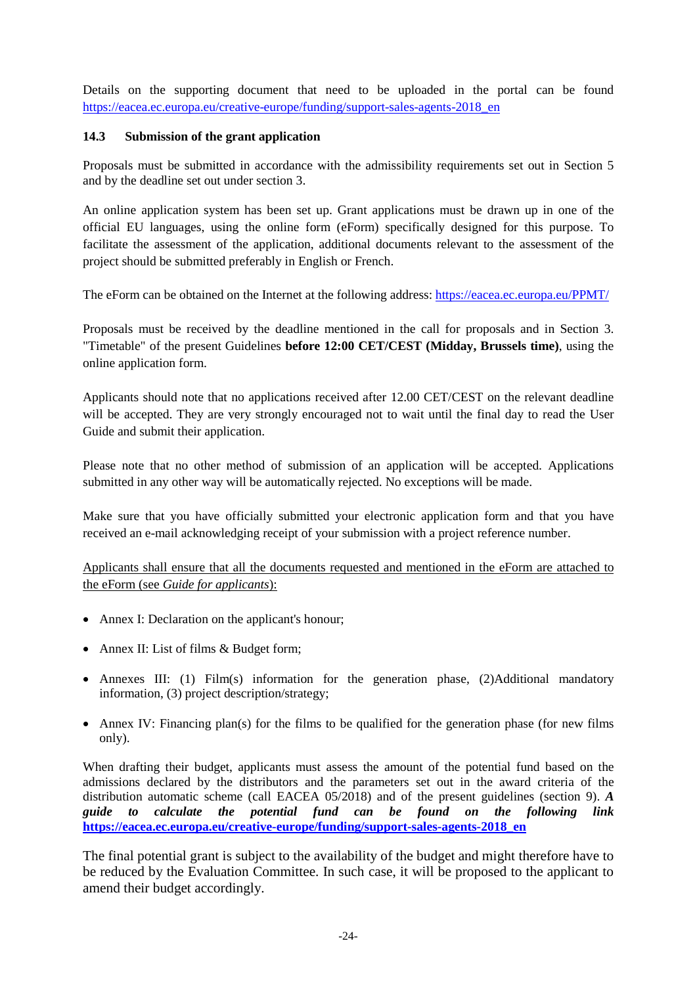Details on the supporting document that need to be uploaded in the portal can be found [https://eacea.ec.europa.eu/creative-europe/funding/support-sales-agents-2018\\_en](https://eacea.ec.europa.eu/creative-europe/funding/support-sales-agents-2018_en)

# **14.3 Submission of the grant application**

Proposals must be submitted in accordance with the admissibility requirements set out in Section 5 and by the deadline set out under section 3.

An online application system has been set up. Grant applications must be drawn up in one of the official EU languages, using the online form (eForm) specifically designed for this purpose. To facilitate the assessment of the application, additional documents relevant to the assessment of the project should be submitted preferably in English or French.

The eForm can be obtained on the Internet at the following address:<https://eacea.ec.europa.eu/PPMT/>

Proposals must be received by the deadline mentioned in the call for proposals and in Section 3. "Timetable" of the present Guidelines **before 12:00 CET/CEST (Midday, Brussels time)**, using the online application form.

Applicants should note that no applications received after 12.00 CET/CEST on the relevant deadline will be accepted. They are very strongly encouraged not to wait until the final day to read the User Guide and submit their application.

Please note that no other method of submission of an application will be accepted. Applications submitted in any other way will be automatically rejected. No exceptions will be made.

Make sure that you have officially submitted your electronic application form and that you have received an e-mail acknowledging receipt of your submission with a project reference number.

Applicants shall ensure that all the documents requested and mentioned in the eForm are attached to the eForm (see *Guide for applicants*):

- Annex I: Declaration on the applicant's honour;
- Annex II: List of films & Budget form;
- Annexes III: (1) Film(s) information for the generation phase, (2)Additional mandatory information, (3) project description/strategy;
- Annex IV: Financing plan(s) for the films to be qualified for the generation phase (for new films only).

When drafting their budget, applicants must assess the amount of the potential fund based on the admissions declared by the distributors and the parameters set out in the award criteria of the distribution automatic scheme (call EACEA 05/2018) and of the present guidelines (section 9). *A guide to calculate the potential fund can be found on the following link*  **[https://eacea.ec.europa.eu/creative-europe/funding/support-sales-agents-2018\\_en](https://eacea.ec.europa.eu/creative-europe/funding/support-sales-agents-2018_en)**

The final potential grant is subject to the availability of the budget and might therefore have to be reduced by the Evaluation Committee. In such case, it will be proposed to the applicant to amend their budget accordingly.